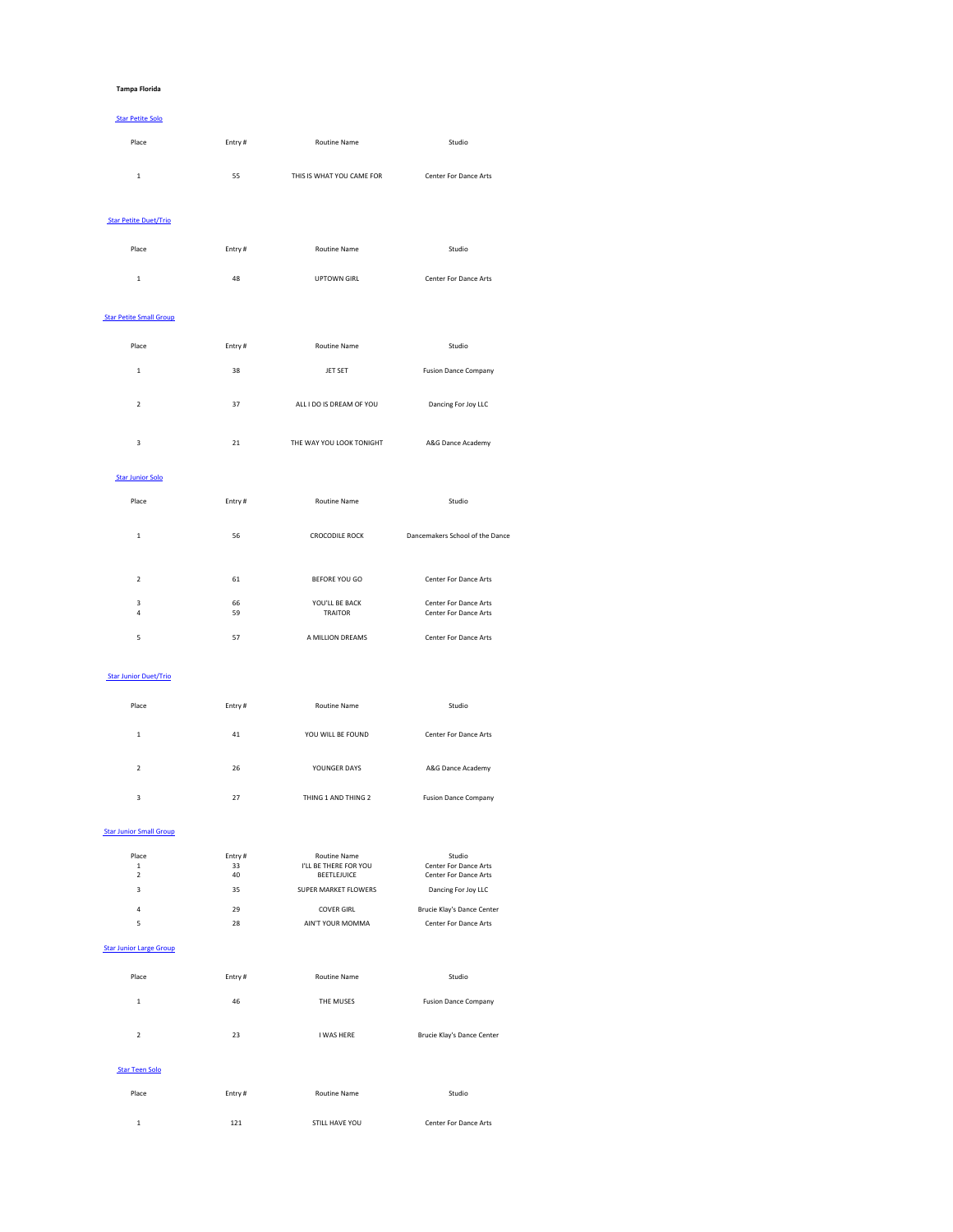#### **Tampa Florida**

#### Star Petite Solo

| Place | Entry# | <b>Routine Name</b>       | Studio                       |
|-------|--------|---------------------------|------------------------------|
| 1.    | 55     | THIS IS WHAT YOU CAME FOR | <b>Center For Dance Arts</b> |

#### Star Petite Duet/Trio

| Place | Entry# | <b>Routine Name</b> | Studio                       |
|-------|--------|---------------------|------------------------------|
| ᅩ     | 48     | <b>UPTOWN GIRL</b>  | <b>Center For Dance Arts</b> |

#### **Star Petite Small Group**

| Place | Entry# | <b>Routine Name</b>      | Studio                      |
|-------|--------|--------------------------|-----------------------------|
| 1     | 38     | <b>JET SET</b>           | <b>Fusion Dance Company</b> |
| 2     | 37     | ALL I DO IS DREAM OF YOU | Dancing For Joy LLC         |

|  | THE WAY YOU LOOK TONIGHT | A&G Dance Academy |
|--|--------------------------|-------------------|
|  |                          |                   |

# Star Junior Solo

| Place  | Entry#   | <b>Routine Name</b>              | Studio                                                       |
|--------|----------|----------------------------------|--------------------------------------------------------------|
| 1      | 56       | <b>CROCODILE ROCK</b>            | Dancemakers School of the Dance                              |
| 2      | 61       | <b>BEFORE YOU GO</b>             | <b>Center For Dance Arts</b>                                 |
| 3<br>4 | 66<br>59 | YOU'LL BE BACK<br><b>TRAITOR</b> | <b>Center For Dance Arts</b><br><b>Center For Dance Arts</b> |

|  | A MILLION DREAMS | <b>Center For Dance Arts</b> |
|--|------------------|------------------------------|

# Star Junior Duet/Trio

| Place | Entry# | <b>Routine Name</b> | Studio                       |
|-------|--------|---------------------|------------------------------|
| 1     | 41     | YOU WILL BE FOUND   | <b>Center For Dance Arts</b> |
| 2     | 26     | YOUNGER DAYS        | A&G Dance Academy            |
| 3     | 27     | THING 1 AND THING 2 | <b>Fusion Dance Company</b>  |

#### **Star Junior Small Group**

| Place | Entry # | <b>Routine Name</b>         | Studio                       |
|-------|---------|-----------------------------|------------------------------|
| 1     | 33      | I'LL BE THERE FOR YOU       | <b>Center For Dance Arts</b> |
| 2     | 40      | <b>BEETLEJUICE</b>          | <b>Center For Dance Arts</b> |
| 3     | 35      | <b>SUPER MARKET FLOWERS</b> | Dancing For Joy LLC          |
| 4     | 29      | <b>COVER GIRL</b>           | Brucie Klay's Dance Center   |
| 5     | 28      | AIN'T YOUR MOMMA            | <b>Center For Dance Arts</b> |

#### Star Junior Large Group

| Place | Entry# | <b>Routine Name</b> | Studio                      |
|-------|--------|---------------------|-----------------------------|
| 1     | 46     | THE MUSES           | <b>Fusion Dance Company</b> |
| 2     | 23     | I WAS HERE          | Brucie Klay's Dance Center  |

#### Star Teen Solo

| Place | Entry# | Routine Name   | Studio                       |
|-------|--------|----------------|------------------------------|
|       | 121    | STILL HAVE YOU | <b>Center For Dance Arts</b> |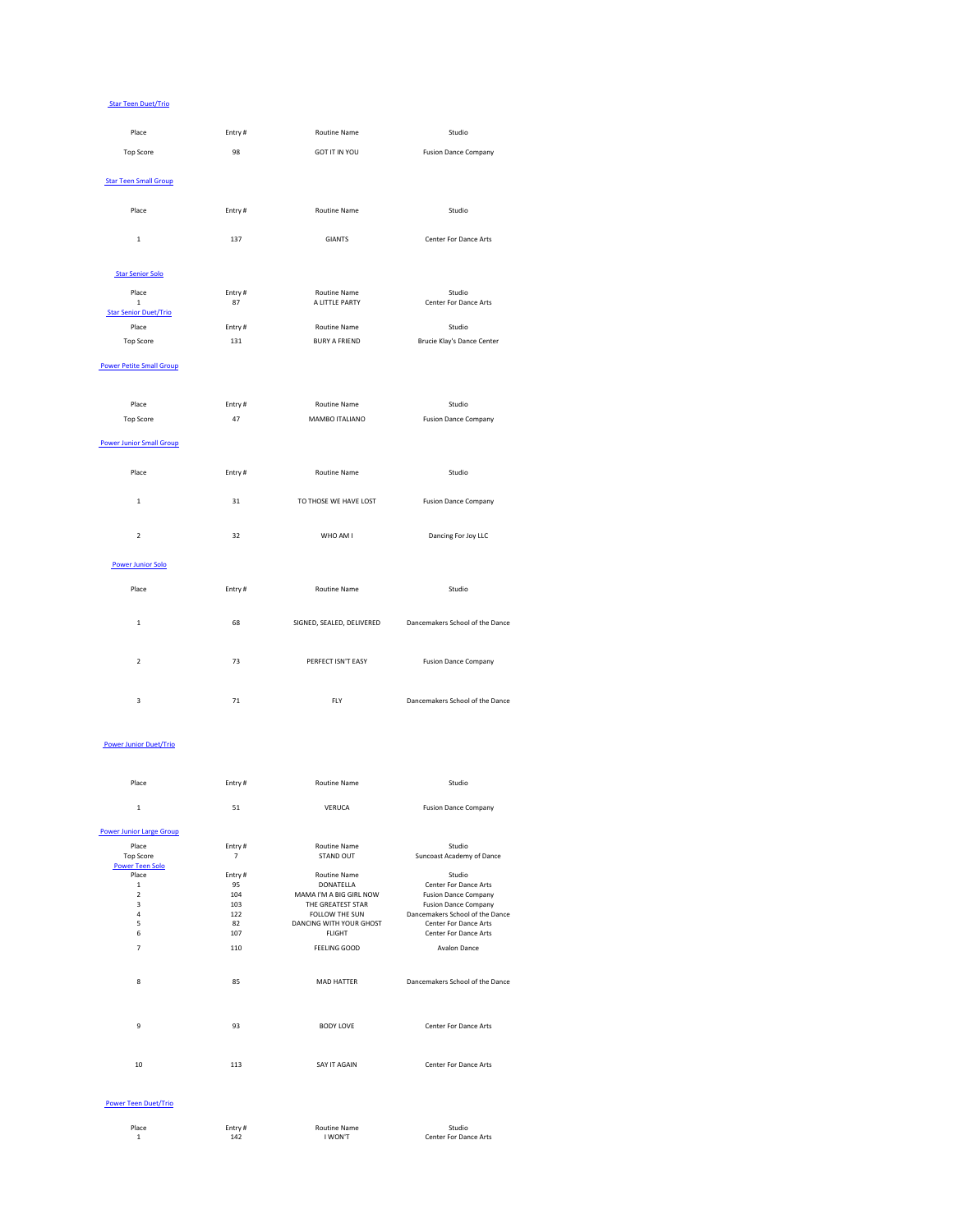#### Star Teen Duet/Trio

| Place                                                 | Entry#       | <b>Routine Name</b>                   | Studio                                 |
|-------------------------------------------------------|--------------|---------------------------------------|----------------------------------------|
| <b>Top Score</b>                                      | 98           | <b>GOT IT IN YOU</b>                  | <b>Fusion Dance Company</b>            |
| <b>Star Teen Small Group</b>                          |              |                                       |                                        |
| Place                                                 | Entry#       | <b>Routine Name</b>                   | Studio                                 |
| $\mathbf{1}$                                          | 137          | <b>GIANTS</b>                         | <b>Center For Dance Arts</b>           |
| <b>Star Senior Solo</b>                               |              |                                       |                                        |
| Place<br>$\mathbf{1}$<br><b>Star Senior Duet/Trio</b> | Entry#<br>87 | <b>Routine Name</b><br>A LITTLE PARTY | Studio<br><b>Center For Dance Arts</b> |
| Place                                                 | Entry#       | <b>Routine Name</b>                   | Studio                                 |
| <b>Top Score</b>                                      | 131          | <b>BURY A FRIEND</b>                  | <b>Brucie Klay's Dance Center</b>      |
| <b>Power Petite Small Group</b>                       |              |                                       |                                        |
| Place                                                 | Entry#       | <b>Routine Name</b>                   | Studio                                 |
| <b>Top Score</b>                                      | 47           | MAMBO ITALIANO                        | <b>Fusion Dance Company</b>            |
| <b>Power Junior Small Group</b>                       |              |                                       |                                        |
| Place                                                 | Entry#       | <b>Routine Name</b>                   | Studio                                 |
| $\mathbf{1}$                                          | 31           | TO THOSE WE HAVE LOST                 | <b>Fusion Dance Company</b>            |

2 32 32 WHO AM I Dancing For Joy LLC

#### Power Junior Solo

| Place | Entry # | <b>Routine Name</b> | Studio |
|-------|---------|---------------------|--------|
|       |         |                     |        |

| ◢<br>÷ | 68 | SIGNED, SEALED, DELIVERED | Dancemakers School of the Dance |
|--------|----|---------------------------|---------------------------------|
|        |    |                           |                                 |
| 2      | 73 | PERFECT ISN'T EASY        | <b>Fusion Dance Company</b>     |
|        |    |                           |                                 |
| 3      | 71 | <b>FLY</b>                | Dancemakers School of the Dance |

### Power Junior Duet/Trio

| Place                           | Entry# | <b>Routine Name</b>     | Studio                           |
|---------------------------------|--------|-------------------------|----------------------------------|
| $\mathbf 1$                     | 51     | <b>VERUCA</b>           | <b>Fusion Dance Company</b>      |
| <b>Power Junior Large Group</b> |        |                         |                                  |
| Place                           | Entry# | <b>Routine Name</b>     | Studio                           |
| <b>Top Score</b>                | 7      | <b>STAND OUT</b>        | <b>Suncoast Academy of Dance</b> |
| <b>Power Teen Solo</b>          |        |                         |                                  |
| Place                           | Entry# | <b>Routine Name</b>     | Studio                           |
| $\mathbf{1}$                    | 95     | <b>DONATELLA</b>        | <b>Center For Dance Arts</b>     |
| $\overline{2}$                  | 104    | MAMA I'M A BIG GIRL NOW | <b>Fusion Dance Company</b>      |
| 3                               | 103    | THE GREATEST STAR       | <b>Fusion Dance Company</b>      |
| 4                               | 122    | FOLLOW THE SUN          | Dancemakers School of the Dance  |
| 5                               | 82     | DANCING WITH YOUR GHOST | <b>Center For Dance Arts</b>     |
| 6                               | 107    | <b>FLIGHT</b>           | <b>Center For Dance Arts</b>     |
| 7                               | 110    | <b>FEELING GOOD</b>     | <b>Avalon Dance</b>              |
| 8                               | 85     | <b>MAD HATTER</b>       | Dancemakers School of the Dance  |
| 9                               | 93     | <b>BODY LOVE</b>        | <b>Center For Dance Arts</b>     |
| 10                              | 113    | SAY IT AGAIN            | <b>Center For Dance Arts</b>     |

#### Power Teen Duet/Trio

| Place | Entry $#$ | Routine Name | Studio                       |
|-------|-----------|--------------|------------------------------|
| -     | 142       | WON'T        | <b>Center For Dance Arts</b> |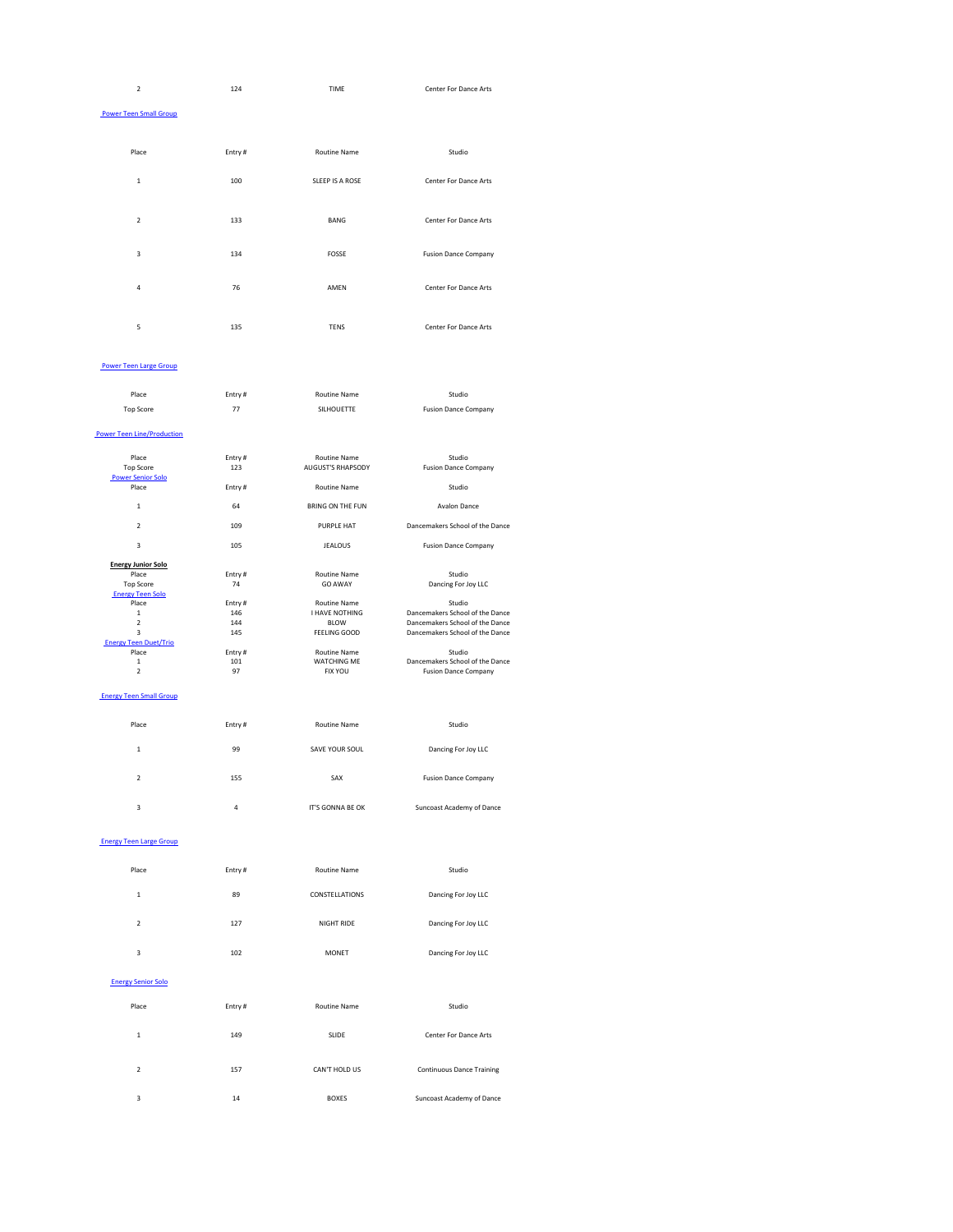| $\overline{2}$                | 124    | <b>TIME</b>     | Center For Dance Arts        |
|-------------------------------|--------|-----------------|------------------------------|
| <b>Power Teen Small Group</b> |        |                 |                              |
| Place                         | Entry# | Routine Name    | Studio                       |
| $\mathbf 1$                   | 100    | SLEEP IS A ROSE | <b>Center For Dance Arts</b> |
| $\overline{2}$                | 133    | <b>BANG</b>     | <b>Center For Dance Arts</b> |
| $\mathbf{3}$                  | 134    | <b>FOSSE</b>    | <b>Fusion Dance Company</b>  |
| $\overline{4}$                | 76     | AMEN            | <b>Center For Dance Arts</b> |
| $\mathsf S$                   | 135    | <b>TENS</b>     | <b>Center For Dance Arts</b> |

## Power Teen Large Group

| Place     | Entry # | <b>Routine Name</b> | Studio                      |
|-----------|---------|---------------------|-----------------------------|
| Top Score | フフ      | <b>SILHOUETTE</b>   | <b>Fusion Dance Company</b> |

### Power Teen Line/Production

| Place                        | Entry# | <b>Routine Name</b>      | Studio                          |
|------------------------------|--------|--------------------------|---------------------------------|
| <b>Top Score</b>             | 123    | <b>AUGUST'S RHAPSODY</b> | <b>Fusion Dance Company</b>     |
| <b>Power Senior Solo</b>     |        |                          |                                 |
| Place                        | Entry# | <b>Routine Name</b>      | Studio                          |
| $\mathbf{1}$                 | 64     | <b>BRING ON THE FUN</b>  | <b>Avalon Dance</b>             |
| $\overline{2}$               | 109    | <b>PURPLE HAT</b>        | Dancemakers School of the Dance |
| 3                            | 105    | <b>JEALOUS</b>           | <b>Fusion Dance Company</b>     |
| <b>Energy Junior Solo</b>    |        |                          |                                 |
| Place                        | Entry# | <b>Routine Name</b>      | Studio                          |
| <b>Top Score</b>             | 74     | <b>GO AWAY</b>           | Dancing For Joy LLC             |
| <b>Energy Teen Solo</b>      |        |                          |                                 |
| Place                        | Entry# | <b>Routine Name</b>      | Studio                          |
| 1                            | 146    | <b>I HAVE NOTHING</b>    | Dancemakers School of the Dance |
| $\overline{2}$               | 144    | <b>BLOW</b>              | Dancemakers School of the Dance |
| 3                            | 145    | FEELING GOOD             | Dancemakers School of the Dance |
| <b>Energy Teen Duet/Trio</b> |        |                          |                                 |
| Place                        | Entry# | <b>Routine Name</b>      | Studio                          |
| 1                            | 101    | <b>WATCHING ME</b>       | Dancemakers School of the Dance |
| 2                            | 97     | <b>FIX YOU</b>           | <b>Fusion Dance Company</b>     |
|                              |        |                          |                                 |

## **Energy Teen Small Group**

| Place | Entry# | <b>Routine Name</b>   | Studio                      |
|-------|--------|-----------------------|-----------------------------|
| 1     | 99     | <b>SAVE YOUR SOUL</b> | Dancing For Joy LLC         |
| 2     | 155    | SAX                   | <b>Fusion Dance Company</b> |
| 3     | 4      | IT'S GONNA BE OK      | Suncoast Academy of Dance   |

#### Energy Teen Large Group

| Place | Entry# | <b>Routine Name</b>   | Studio              |
|-------|--------|-----------------------|---------------------|
| 1     | 89     | <b>CONSTELLATIONS</b> | Dancing For Joy LLC |
| 2     | 127    | <b>NIGHT RIDE</b>     | Dancing For Joy LLC |
| 3     | 102    | <b>MONET</b>          | Dancing For Joy LLC |

#### Energy Senior Solo

| Place          | Entry# | <b>Routine Name</b> | Studio                           |
|----------------|--------|---------------------|----------------------------------|
| 1              | 149    | <b>SLIDE</b>        | <b>Center For Dance Arts</b>     |
| $\mathfrak{p}$ | 157    | CAN'T HOLD US       | <b>Continuous Dance Training</b> |
| 3              | 14     | <b>BOXES</b>        | Suncoast Academy of Dance        |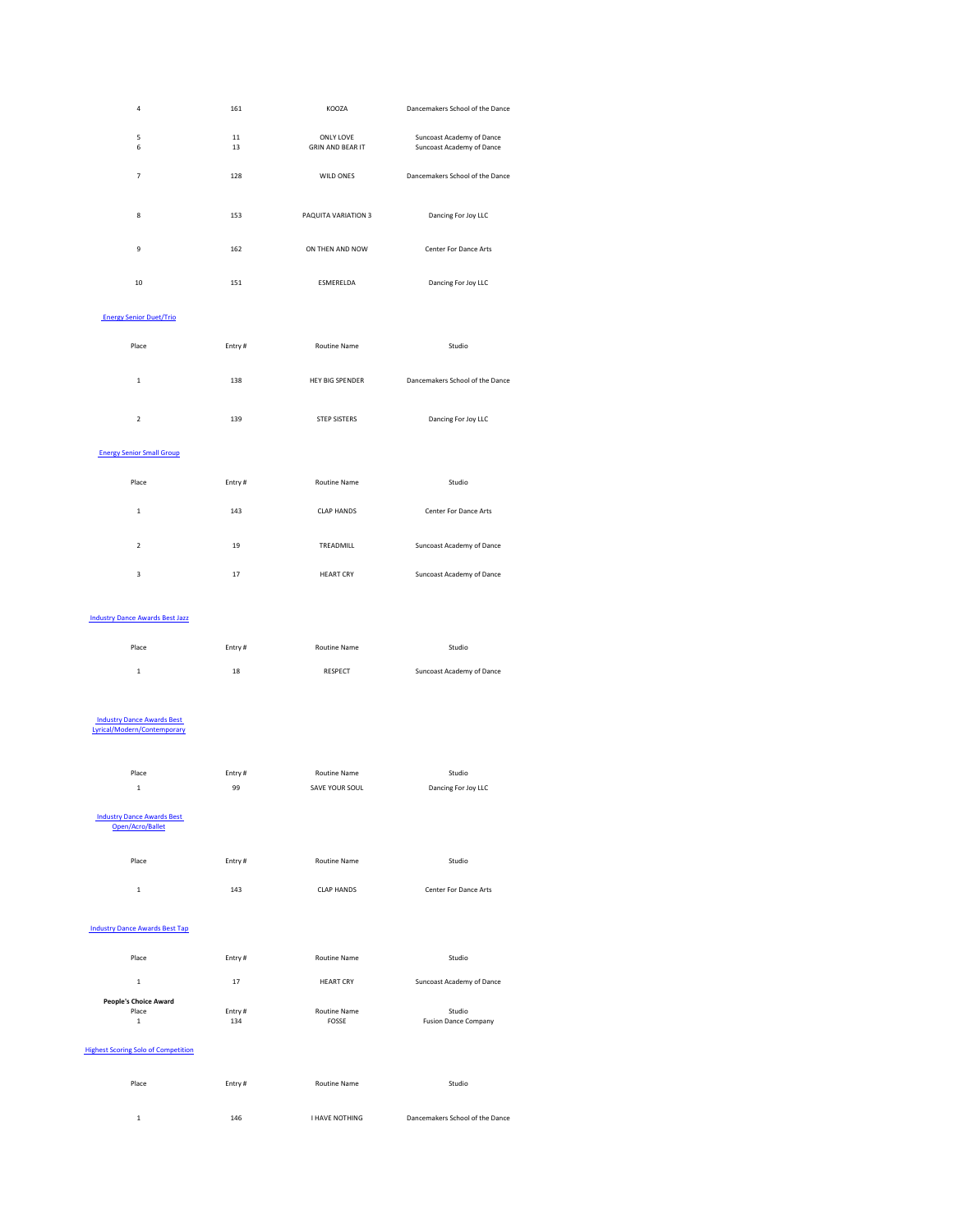| $\overline{a}$                 | 161      | KOOZA                                       | Dancemakers School of the Dance                               |  |
|--------------------------------|----------|---------------------------------------------|---------------------------------------------------------------|--|
| $\sqrt{5}$<br>$\boldsymbol{6}$ | 11<br>13 | <b>ONLY LOVE</b><br><b>GRIN AND BEAR IT</b> | <b>Suncoast Academy of Dance</b><br>Suncoast Academy of Dance |  |
| $\overline{7}$                 | 128      | WILD ONES                                   | Dancemakers School of the Dance                               |  |
| 8                              | 153      | PAQUITA VARIATION 3                         | Dancing For Joy LLC                                           |  |
| $9\,$                          | 162      | ON THEN AND NOW                             | <b>Center For Dance Arts</b>                                  |  |
| 10                             | 151      | ESMERELDA                                   | Dancing For Joy LLC                                           |  |
| <b>Energy Senior Duet/Trio</b> |          |                                             |                                                               |  |

| Place         | Entry# | <b>Routine Name</b>    | Studio                          |
|---------------|--------|------------------------|---------------------------------|
| 1             | 138    | <b>HEY BIG SPENDER</b> | Dancemakers School of the Dance |
| $\mathcal{L}$ | 139    | <b>STEP SISTERS</b>    | Dancing For Joy LLC             |

#### Energy Senior Small Group

| Place   | Entry# | Routine Name      | Studio                       |
|---------|--------|-------------------|------------------------------|
| 1<br>J. | 143    | <b>CLAP HANDS</b> | <b>Center For Dance Arts</b> |
| 2       | 19     | TREADMILL         | Suncoast Academy of Dance    |
| 3       | 17     | <b>HEART CRY</b>  | Suncoast Academy of Dance    |

#### Industry Dance Awards Best Jazz

| <b>INGUSTY DANCE AWARDS DESC JAZZ</b>                            |        |                     |                                  |
|------------------------------------------------------------------|--------|---------------------|----------------------------------|
| Place                                                            | Entry# | <b>Routine Name</b> | Studio                           |
| $\mathbf{1}$                                                     | 18     | <b>RESPECT</b>      | <b>Suncoast Academy of Dance</b> |
|                                                                  |        |                     |                                  |
| <b>Industry Dance Awards Best</b><br>Lyrical/Modern/Contemporary |        |                     |                                  |
| Place                                                            | Entry# | <b>Routine Name</b> | Studio                           |
| $\mathbf{1}$                                                     | 99     | SAVE YOUR SOUL      | Dancing For Joy LLC              |
| <b>Industry Dance Awards Best</b><br>Open/Acro/Ballet            |        |                     |                                  |
| Place                                                            | Entry# | <b>Routine Name</b> | Studio                           |
| $\mathbf{1}$                                                     | 143    | <b>CLAP HANDS</b>   | <b>Center For Dance Arts</b>     |
| <b>Industry Dance Awards Best Tap</b>                            |        |                     |                                  |
| Place                                                            | Entry# | <b>Routine Name</b> | Studio                           |
| $\mathbf{1}$                                                     | 17     | <b>HEART CRY</b>    | Suncoast Academy of Dance        |
| <b>People's Choice Award</b>                                     |        |                     |                                  |
| Place                                                            | Entry# | <b>Routine Name</b> | Studio                           |
| $1\,$                                                            | 134    | <b>FOSSE</b>        | <b>Fusion Dance Company</b>      |

# **Highest Scoring Solo of Competition**

| Place | Entry $#$ | Routine Name   | Studio                          |
|-------|-----------|----------------|---------------------------------|
|       |           |                |                                 |
|       | 146       | I HAVE NOTHING | Dancemakers School of the Dance |